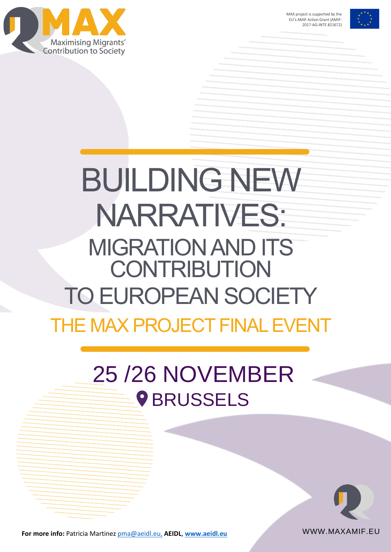



# THE MAX PROJECT FINAL EVENT BUILDING NEW NARRATIVES: MIGRATION AND ITS **CONTRIBUTION** TO EUROPEAN SOCIETY

# 25 /26 NOVEMBER **9 BRUSSELS**

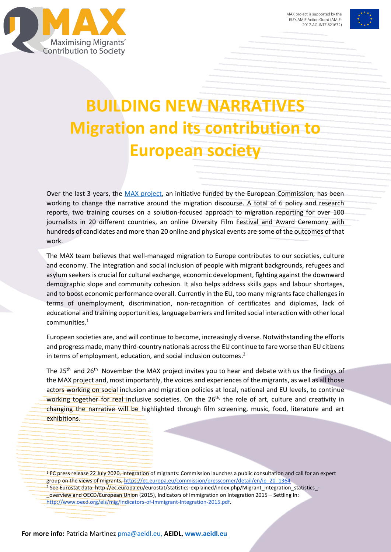



# **BUILDING NEW NARRATIVES Migration and its contribution to European society**

Over the last 3 years, the [MAX project,](http://www.maxamif.eu/) an initiative funded by the European Commission, has been working to change the narrative around the migration discourse. A total of 6 policy and research reports, two training courses on a solution-focused approach to migration reporting for over 100 journalists in 20 different countries, an online Diversity Film Festival and Award Ceremony with hundreds of candidates and more than 20 online and physical events are some of the outcomes of that work.

The MAX team believes that well-managed migration to Europe contributes to our societies, culture and economy. The integration and social inclusion of people with migrant backgrounds, refugees and asylum seekers is crucial for cultural exchange, economic development, fighting against the downward demographic slope and community cohesion. It also helps address skills gaps and labour shortages, and to boost economic performance overall. Currently in the EU, too many migrants face challenges in terms of unemployment, discrimination, non-recognition of certificates and diplomas, lack of educational and training opportunities, language barriers and limited social interaction with other local communities. 1

European societies are, and will continue to become, increasingly diverse. Notwithstanding the efforts and progress made, many third-country nationals across the EU continue to fare worse than EU citizens in terms of employment, education, and social inclusion outcomes.<sup>2</sup>

The 25<sup>th</sup> and 26<sup>th</sup> November the MAX project invites you to hear and debate with us the findings of the MAX project and, most importantly, the voices and experiences of the migrants, as well as all those actors working on social inclusion and migration policies at local, national and EU levels, to continue working together for real inclusive societies. On the  $26<sup>th</sup>$ , the role of art, culture and creativity in changing the narrative will be highlighted through film screening, music, food, literature and art exhibitions.

<sup>1</sup> EC press release 22 July 2020, Integration of migrants: Commission launches a public consultation and call for an expert group on the views of migrants, [https://ec.europa.eu/commission/presscorner/detail/en/ip\\_20\\_1364](https://ec.europa.eu/commission/presscorner/detail/en/ip_20_1364) <sup>2</sup> See Eurostat data: http://ec.europa.eu/eurostat/statistics-explained/index.php/Migrant\_integration\_statistics\_-\_overview and OECD/European Union (2015), Indicators of Immigration on Integration 2015 – Settling In[:](http://www.oecd.org/els/mig/Indicators-of-Immigrant-Integration-2015.pdf) [http://www.oecd.org/els/mig/Indicators-of-Immigrant-Integration-2015.pdf.](http://www.oecd.org/els/mig/Indicators-of-Immigrant-Integration-2015.pdf)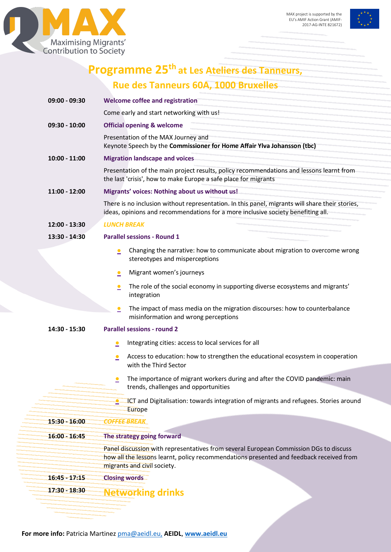



# **Programme 25th at Les Ateliers des Tanneurs, Rue des Tanneurs 60A, 1000 Bruxelles**

| 09:00 - 09:30   | <b>Welcome coffee and registration</b>                                                                                                                                                                          |
|-----------------|-----------------------------------------------------------------------------------------------------------------------------------------------------------------------------------------------------------------|
|                 | Come early and start networking with us!                                                                                                                                                                        |
| $09:30 - 10:00$ | <b>Official opening &amp; welcome</b>                                                                                                                                                                           |
|                 | Presentation of the MAX Journey and<br>Keynote Speech by the Commissioner for Home Affair Ylva Johansson (tbc)                                                                                                  |
| $10:00 - 11:00$ | <b>Migration landscape and voices</b>                                                                                                                                                                           |
|                 | Presentation of the main project results, policy recommendations and lessons learnt from<br>the last 'crisis', how to make Europe a safe place for migrants                                                     |
| 11:00 - 12:00   | Migrants' voices: Nothing about us without us!                                                                                                                                                                  |
|                 | There is no inclusion without representation. In this panel, migrants will share their stories,<br>ideas, opinions and recommendations for a more inclusive society benefiting all.                             |
| 12:00 - 13:30   | <b>LUNCH BREAK</b>                                                                                                                                                                                              |
| 13:30 - 14:30   | <b>Parallel sessions - Round 1</b>                                                                                                                                                                              |
|                 | Changing the narrative: how to communicate about migration to overcome wrong<br>$\bullet$<br>stereotypes and misperceptions                                                                                     |
|                 | Migrant women's journeys<br>≗                                                                                                                                                                                   |
|                 | The role of the social economy in supporting diverse ecosystems and migrants'<br>$\bullet$<br>integration                                                                                                       |
|                 | The impact of mass media on the migration discourses: how to counterbalance<br>$\bullet$<br>misinformation and wrong perceptions                                                                                |
| 14:30 - 15:30   | <b>Parallel sessions - round 2</b>                                                                                                                                                                              |
|                 | Integrating cities: access to local services for all<br>$\bullet$                                                                                                                                               |
|                 | Access to education: how to strengthen the educational ecosystem in cooperation<br>$\bullet$<br>with the Third Sector                                                                                           |
|                 | The importance of migrant workers during and after the COVID pandemic: main<br>$\bullet$<br>trends, challenges and opportunities                                                                                |
|                 | ICT and Digitalisation: towards integration of migrants and refugees. Stories around<br>≗<br>Europe                                                                                                             |
| $15:30 - 16:00$ | <b>COFFEE BREAK</b>                                                                                                                                                                                             |
| $16:00 - 16:45$ | The strategy going forward                                                                                                                                                                                      |
|                 | Panel discussion with representatives from several European Commission DGs to discuss<br>how all the lessons learnt, policy recommendations presented and feedback received from<br>migrants and civil society. |
| $16:45 - 17:15$ | <b>Closing words</b>                                                                                                                                                                                            |
| 17:30 - 18:30   | <b>Networking drinks</b>                                                                                                                                                                                        |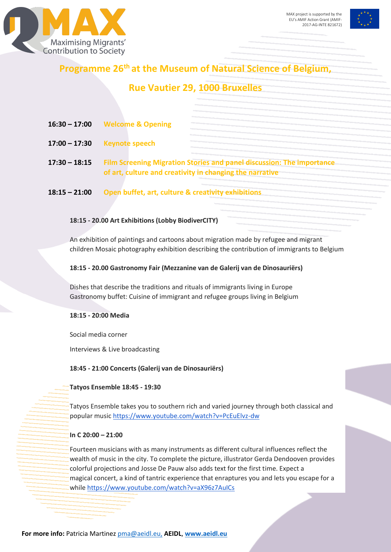



# **Programme 26th at the Museum of Natural Science of Belgium,**

# **Rue Vautier 29, 1000 Bruxelles**

| $16:30 - 17:00$ | <b>Welcome &amp; Opening</b>                                                                                                      |
|-----------------|-----------------------------------------------------------------------------------------------------------------------------------|
| $17:00 - 17:30$ | <b>Keynote speech</b>                                                                                                             |
| $17:30 - 18:15$ | Film Screening Migration Stories and panel discussion: The importance<br>of art, culture and creativity in changing the narrative |
| $18:15 - 21:00$ | Open buffet, art, culture & creativity exhibitions                                                                                |

#### **18:15 - 20.00 Art Exhibitions (Lobby BiodiverCITY)**

An exhibition of paintings and cartoons about migration made by refugee and migrant children Mosaic photography exhibition describing the contribution of immigrants to Belgium

#### **18:15 - 20.00 Gastronomy Fair (Mezzanine van de Galerij van de Dinosauriërs)**

Dishes that describe the traditions and rituals of immigrants living in Europe Gastronomy buffet: Cuisine of immigrant and refugee groups living in Belgium

#### **18:15 - 20:00 Media**

Social media corner

Interviews & Live broadcasting

**18:45 - 21:00 Concerts (Galerij van de Dinosauriërs)**

**Tatyos Ensemble 18:45 - 19:30**

Tatyos Ensemble takes you to southern rich and varied journey through both classical and popular music<https://www.youtube.com/watch?v=PcEuElvz-dw>

#### **In C 20:00 – 21:00**

Fourteen musicians with as many instruments as different cultural influences reflect the wealth of music in the city. To complete the picture, illustrator Gerda Dendooven provides colorful projections and Josse De Pauw also adds text for the first time. Expect a magical concert, a kind of tantric experience that enraptures you and lets you escape for a while<https://www.youtube.com/watch?v=aX96z7AuICs>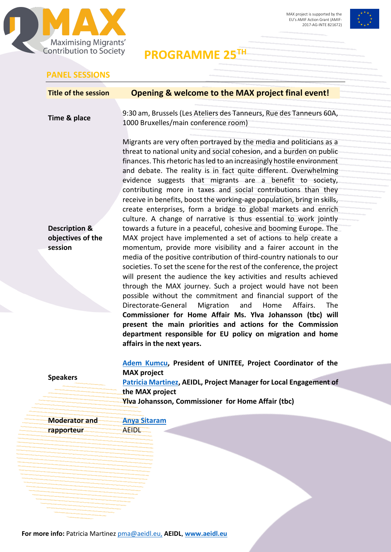



**PROGRAMME 25TH**

### **PANEL SESSIONS**

|                                                          | Opening & welcome to the MAX project final event!                                                                                                                                                                                                                                                                                                                                                                                                                                                                                                                                                                                                                                                                                                                                                                                                               |
|----------------------------------------------------------|-----------------------------------------------------------------------------------------------------------------------------------------------------------------------------------------------------------------------------------------------------------------------------------------------------------------------------------------------------------------------------------------------------------------------------------------------------------------------------------------------------------------------------------------------------------------------------------------------------------------------------------------------------------------------------------------------------------------------------------------------------------------------------------------------------------------------------------------------------------------|
| Time & place                                             | 9:30 am, Brussels (Les Ateliers des Tanneurs, Rue des Tanneurs 60A,<br>1000 Bruxelles/main conference room)                                                                                                                                                                                                                                                                                                                                                                                                                                                                                                                                                                                                                                                                                                                                                     |
|                                                          | Migrants are very often portrayed by the media and politicians as a<br>threat to national unity and social cohesion, and a burden on public<br>finances. This rhetoric has led to an increasingly hostile environment<br>and debate. The reality is in fact quite different. Overwhelming<br>evidence suggests that migrants are a benefit to society,<br>contributing more in taxes and social contributions than they<br>receive in benefits, boost the working-age population, bring in skills,<br>create enterprises, form a bridge to global markets and enrich<br>culture. A change of narrative is thus essential to work jointly                                                                                                                                                                                                                        |
| <b>Description &amp;</b><br>objectives of the<br>session | towards a future in a peaceful, cohesive and booming Europe. The<br>MAX project have implemented a set of actions to help create a<br>momentum, provide more visibility and a fairer account in the<br>media of the positive contribution of third-country nationals to our<br>societies. To set the scene for the rest of the conference, the project<br>will present the audience the key activities and results achieved<br>through the MAX journey. Such a project would have not been<br>possible without the commitment and financial support of the<br>Affairs.<br><b>The</b><br>Directorate-General<br>Migration<br>and<br>Home<br>Commissioner for Home Affair Ms. Ylva Johansson (tbc) will<br>present the main priorities and actions for the Commission<br>department responsible for EU policy on migration and home<br>affairs in the next years. |
|                                                          | Adem Kumcu, President of UNITEE, Project Coordinator of the                                                                                                                                                                                                                                                                                                                                                                                                                                                                                                                                                                                                                                                                                                                                                                                                     |
| <b>Speakers</b>                                          | <b>MAX project</b><br>Patricia Martinez, AEIDL, Project Manager for Local Engagement of<br>the MAX project<br>Ylva Johansson, Commissioner for Home Affair (tbc)                                                                                                                                                                                                                                                                                                                                                                                                                                                                                                                                                                                                                                                                                                |
|                                                          |                                                                                                                                                                                                                                                                                                                                                                                                                                                                                                                                                                                                                                                                                                                                                                                                                                                                 |
| <b>Moderator and</b>                                     | <b>Anya Sitaram</b>                                                                                                                                                                                                                                                                                                                                                                                                                                                                                                                                                                                                                                                                                                                                                                                                                                             |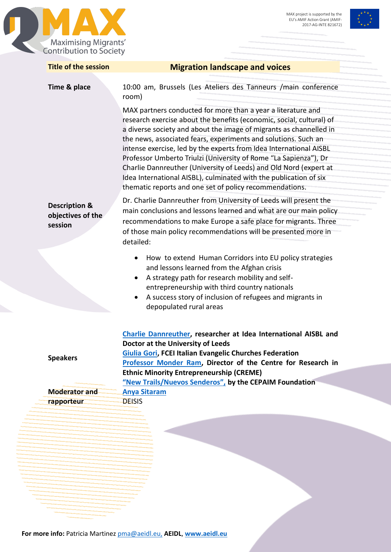



| Time & place                                             | <b>Migration landscape and voices</b>                                                                                                                                                                                                                                                                                                                                                                                                                                                                                                                                                                                       |
|----------------------------------------------------------|-----------------------------------------------------------------------------------------------------------------------------------------------------------------------------------------------------------------------------------------------------------------------------------------------------------------------------------------------------------------------------------------------------------------------------------------------------------------------------------------------------------------------------------------------------------------------------------------------------------------------------|
|                                                          | 10:00 am, Brussels (Les Ateliers des Tanneurs / main conference<br>room)                                                                                                                                                                                                                                                                                                                                                                                                                                                                                                                                                    |
|                                                          | MAX partners conducted for more than a year a literature and<br>research exercise about the benefits (economic, social, cultural) of<br>a diverse society and about the image of migrants as channelled in<br>the news, associated fears, experiments and solutions. Such an<br>intense exercise, led by the experts from Idea International AISBL<br>Professor Umberto Triulzi (University of Rome "La Sapienza"), Dr<br>Charlie Dannreuther (University of Leeds) and Old Nord (expert at<br>Idea International AISBL), culminated with the publication of six<br>thematic reports and one set of policy recommendations. |
| <b>Description &amp;</b><br>objectives of the<br>session | Dr. Charlie Dannreuther from University of Leeds will present the<br>main conclusions and lessons learned and what are our main policy<br>recommendations to make Europe a safe place for migrants. Three<br>of those main policy recommendations will be presented more in<br>detailed:                                                                                                                                                                                                                                                                                                                                    |
|                                                          | How to extend Human Corridors into EU policy strategies<br>٠<br>and lessons learned from the Afghan crisis<br>A strategy path for research mobility and self-<br>$\bullet$<br>entrepreneurship with third country nationals<br>A success story of inclusion of refugees and migrants in<br>$\bullet$<br>depopulated rural areas                                                                                                                                                                                                                                                                                             |
| <b>Speakers</b>                                          | Charlie Dannreuther, researcher at Idea International AISBL and<br>Doctor at the University of Leeds<br>Giulia Gori, FCEI Italian Evangelic Churches Federation<br>Professor Monder Ram, Director of the Centre for Research in<br><b>Ethnic Minority Entrepreneurship (CREME)</b>                                                                                                                                                                                                                                                                                                                                          |
|                                                          | "New Trails/Nuevos Senderos", by the CEPAIM Foundation                                                                                                                                                                                                                                                                                                                                                                                                                                                                                                                                                                      |
| <b>Moderator and</b><br>rapporteur                       | <b>Anya Sitaram</b><br><b>DEISIS</b>                                                                                                                                                                                                                                                                                                                                                                                                                                                                                                                                                                                        |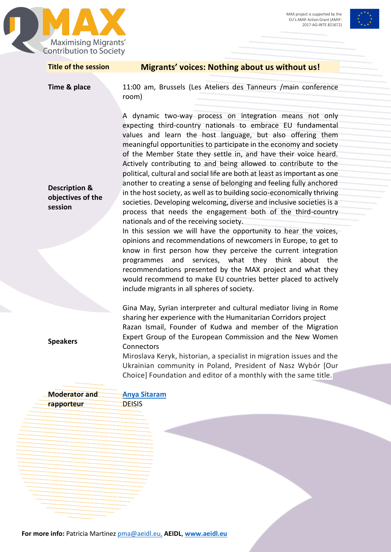



| <b>Title of the session</b>                              | Migrants' voices: Nothing about us without us!                                                                                                                                                                                                                                                                                                                                                                                                                                                                                                                                                                                                                                                                                                                                                                                                                                                                                                                                                                                                                                                                                                                                                                                                                  |
|----------------------------------------------------------|-----------------------------------------------------------------------------------------------------------------------------------------------------------------------------------------------------------------------------------------------------------------------------------------------------------------------------------------------------------------------------------------------------------------------------------------------------------------------------------------------------------------------------------------------------------------------------------------------------------------------------------------------------------------------------------------------------------------------------------------------------------------------------------------------------------------------------------------------------------------------------------------------------------------------------------------------------------------------------------------------------------------------------------------------------------------------------------------------------------------------------------------------------------------------------------------------------------------------------------------------------------------|
| Time & place                                             | 11:00 am, Brussels (Les Ateliers des Tanneurs / main conference<br>room)                                                                                                                                                                                                                                                                                                                                                                                                                                                                                                                                                                                                                                                                                                                                                                                                                                                                                                                                                                                                                                                                                                                                                                                        |
| <b>Description &amp;</b><br>objectives of the<br>session | A dynamic two-way process on integration means not only<br>expecting third-country nationals to embrace EU fundamental<br>values and learn the host language, but also offering them<br>meaningful opportunities to participate in the economy and society<br>of the Member State they settle in, and have their voice heard.<br>Actively contributing to and being allowed to contribute to the<br>political, cultural and social life are both at least as important as one<br>another to creating a sense of belonging and feeling fully anchored<br>in the host society, as well as to building socio-economically thriving<br>societies. Developing welcoming, diverse and inclusive societies is a<br>process that needs the engagement both of the third-country<br>nationals and of the receiving society.<br>In this session we will have the opportunity to hear the voices,<br>opinions and recommendations of newcomers in Europe, to get to<br>know in first person how they perceive the current integration<br>programmes and services, what they think about the<br>recommendations presented by the MAX project and what they<br>would recommend to make EU countries better placed to actively<br>include migrants in all spheres of society. |
| <b>Speakers</b>                                          | Gina May, Syrian interpreter and cultural mediator living in Rome<br>sharing her experience with the Humanitarian Corridors project<br>Razan Ismail, Founder of Kudwa and member of the Migration<br>Expert Group of the European Commission and the New Women<br>Connectors<br>Miroslava Keryk, historian, a specialist in migration issues and the<br>Ukrainian community in Poland, President of Nasz Wybór [Our                                                                                                                                                                                                                                                                                                                                                                                                                                                                                                                                                                                                                                                                                                                                                                                                                                             |
|                                                          | Choice] Foundation and editor of a monthly with the same title.                                                                                                                                                                                                                                                                                                                                                                                                                                                                                                                                                                                                                                                                                                                                                                                                                                                                                                                                                                                                                                                                                                                                                                                                 |
| <b>Moderator and</b>                                     | <b>Anya Sitaram</b>                                                                                                                                                                                                                                                                                                                                                                                                                                                                                                                                                                                                                                                                                                                                                                                                                                                                                                                                                                                                                                                                                                                                                                                                                                             |
| rapporteur                                               | <b>DEISIS</b>                                                                                                                                                                                                                                                                                                                                                                                                                                                                                                                                                                                                                                                                                                                                                                                                                                                                                                                                                                                                                                                                                                                                                                                                                                                   |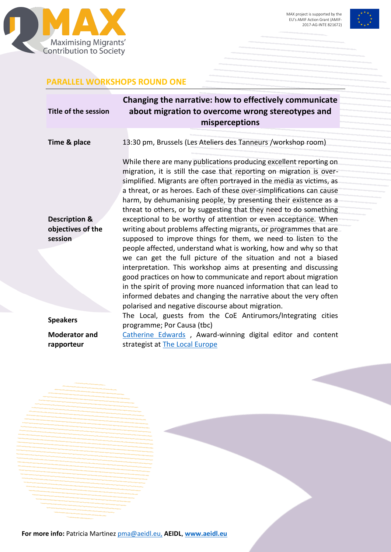



### **PARALLEL WORKSHOPS ROUND ONE**

| Title of the session               | Changing the narrative: how to effectively communicate<br>about migration to overcome wrong stereotypes and<br>misperceptions                                                                                                                                                                                                                                                                                                                                                      |
|------------------------------------|------------------------------------------------------------------------------------------------------------------------------------------------------------------------------------------------------------------------------------------------------------------------------------------------------------------------------------------------------------------------------------------------------------------------------------------------------------------------------------|
| Time & place                       | 13:30 pm, Brussels (Les Ateliers des Tanneurs /workshop room)                                                                                                                                                                                                                                                                                                                                                                                                                      |
|                                    | While there are many publications producing excellent reporting on<br>migration, it is still the case that reporting on migration is over-<br>simplified. Migrants are often portrayed in the media as victims, as<br>a threat, or as heroes. Each of these over-simplifications can cause<br>harm, by dehumanising people, by presenting their existence as a<br>threat to others, or by suggesting that they need to do something                                                |
| <b>Description &amp;</b>           | exceptional to be worthy of attention or even acceptance. When                                                                                                                                                                                                                                                                                                                                                                                                                     |
| objectives of the                  | writing about problems affecting migrants, or programmes that are                                                                                                                                                                                                                                                                                                                                                                                                                  |
| session                            | supposed to improve things for them, we need to listen to the<br>people affected, understand what is working, how and why so that<br>we can get the full picture of the situation and not a biased<br>interpretation. This workshop aims at presenting and discussing<br>good practices on how to communicate and report about migration<br>in the spirit of proving more nuanced information that can lead to<br>informed debates and changing the narrative about the very often |
|                                    | polarised and negative discourse about migration.                                                                                                                                                                                                                                                                                                                                                                                                                                  |
| <b>Speakers</b>                    | The Local, guests from the CoE Antirumors/Integrating cities<br>programme; Por Causa (tbc)                                                                                                                                                                                                                                                                                                                                                                                         |
| <b>Moderator and</b><br>rapporteur | Catherine Edwards, Award-winning digital editor and content<br>strategist at The Local Europe                                                                                                                                                                                                                                                                                                                                                                                      |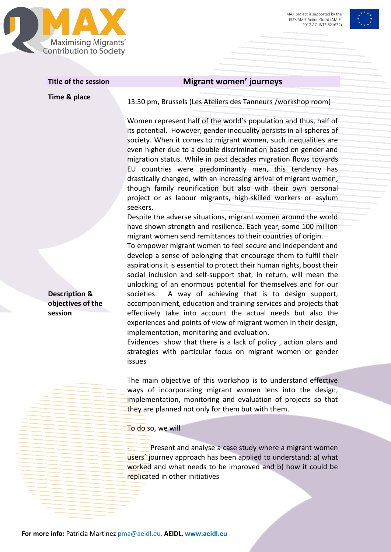



#### **Title of the session Migrant women' journeys**

**Time & place** 13:30 pm, Brussels (Les Ateliers des Tanneurs /workshop room)

Women represent half of the world's population and thus, half of its potential. However, gender inequality persists in all spheres of society. When it comes to migrant women, such inequalities are even higher due to a double discrimination based on gender and migration status. While in past decades migration flows towards EU countries were predominantly men, this tendency has drastically changed, with an increasing arrival of migrant women, though family reunification but also with their own personal project or as labour migrants, high-skilled workers or asylum seekers.

Despite the adverse situations, migrant women around the world have shown strength and resilience. Each year, some 100 million migrant women send remittances to their countries of origin.

To empower migrant women to feel secure and independent and develop a sense of belonging that encourage them to fulfil their aspirations it is essential to protect their human rights, boost their social inclusion and self-support that, in return, will mean the unlocking of an enormous potential for themselves and for our societies. A way of achieving that is to design support, accompaniment, education and training services and projects that effectively take into account the actual needs but also the experiences and points of view of migrant women in their design, implementation, monitoring and evaluation.

Evidences show that there is a lack of policy , action plans and strategies with particular focus on migrant women or gender issues

The main objective of this workshop is to understand effective ways of incorporating migrant women lens into the design, implementation, monitoring and evaluation of projects so that they are planned not only for them but with them.

To do so, we will

Present and analyse a case study where a migrant women users´ journey approach has been applied to understand: a) what worked and what needs to be improved and b) how it could be replicated in other initiatives

**Description & objectives of the session**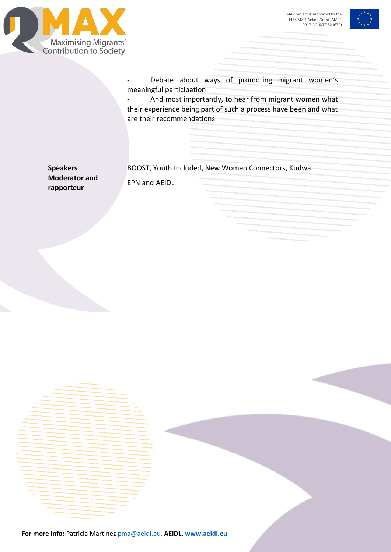



Debate about ways of promoting migrant women's meaningful participation

And most importantly, to hear from migrant women what their experience being part of such a process have been and what are their recommendations

**Moderator and rapporteur** 

**Speakers** BOOST, Youth Included, New Women Connectors, Kudwa

EPN and AEIDL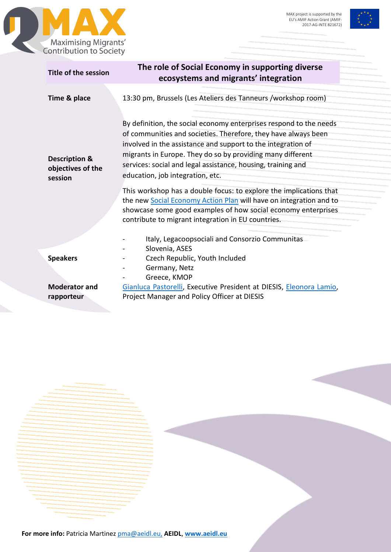



| Title of the session                                     | The role of Social Economy in supporting diverse<br>ecosystems and migrants' integration                                                                                                                                                                                                                                                                                                                                                                                                                                                                                                                                                  |
|----------------------------------------------------------|-------------------------------------------------------------------------------------------------------------------------------------------------------------------------------------------------------------------------------------------------------------------------------------------------------------------------------------------------------------------------------------------------------------------------------------------------------------------------------------------------------------------------------------------------------------------------------------------------------------------------------------------|
| Time & place                                             | 13:30 pm, Brussels (Les Ateliers des Tanneurs /workshop room)                                                                                                                                                                                                                                                                                                                                                                                                                                                                                                                                                                             |
| <b>Description &amp;</b><br>objectives of the<br>session | By definition, the social economy enterprises respond to the needs<br>of communities and societies. Therefore, they have always been<br>involved in the assistance and support to the integration of<br>migrants in Europe. They do so by providing many different<br>services: social and legal assistance, housing, training and<br>education, job integration, etc.<br>This workshop has a double focus: to explore the implications that<br>the new Social Economy Action Plan will have on integration and to<br>showcase some good examples of how social economy enterprises<br>contribute to migrant integration in EU countries. |
| <b>Speakers</b><br><b>Moderator and</b><br>rapporteur    | Italy, Legacoopsociali and Consorzio Communitas<br>Slovenia, ASES<br>Czech Republic, Youth Included<br>Germany, Netz<br>Greece, KMOP<br>Gianluca Pastorelli, Executive President at DIESIS, Eleonora Lamio,<br>Project Manager and Policy Officer at DIESIS                                                                                                                                                                                                                                                                                                                                                                               |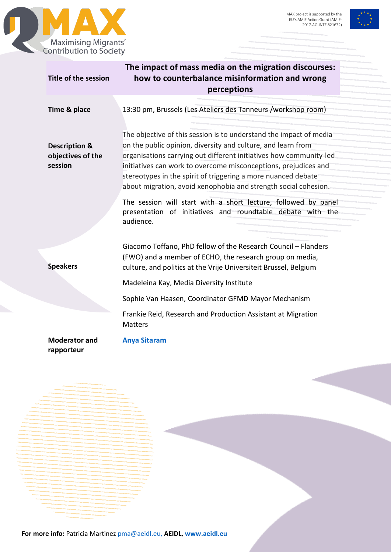



| Title of the session                                     | The impact of mass media on the migration discourses:<br>how to counterbalance misinformation and wrong<br>perceptions                                                                                                                                                                                                                                                                                          |
|----------------------------------------------------------|-----------------------------------------------------------------------------------------------------------------------------------------------------------------------------------------------------------------------------------------------------------------------------------------------------------------------------------------------------------------------------------------------------------------|
| Time & place                                             | 13:30 pm, Brussels (Les Ateliers des Tanneurs /workshop room)                                                                                                                                                                                                                                                                                                                                                   |
| <b>Description &amp;</b><br>objectives of the<br>session | The objective of this session is to understand the impact of media<br>on the public opinion, diversity and culture, and learn from<br>organisations carrying out different initiatives how community-led<br>initiatives can work to overcome misconceptions, prejudices and<br>stereotypes in the spirit of triggering a more nuanced debate<br>about migration, avoid xenophobia and strength social cohesion. |
|                                                          | The session will start with a short lecture, followed by panel<br>presentation of initiatives and roundtable debate with the<br>audience.                                                                                                                                                                                                                                                                       |
| <b>Speakers</b>                                          | Giacomo Toffano, PhD fellow of the Research Council - Flanders<br>(FWO) and a member of ECHO, the research group on media,<br>culture, and politics at the Vrije Universiteit Brussel, Belgium                                                                                                                                                                                                                  |
|                                                          | Madeleina Kay, Media Diversity Institute                                                                                                                                                                                                                                                                                                                                                                        |
|                                                          | Sophie Van Haasen, Coordinator GFMD Mayor Mechanism                                                                                                                                                                                                                                                                                                                                                             |
|                                                          | Frankie Reid, Research and Production Assistant at Migration<br><b>Matters</b>                                                                                                                                                                                                                                                                                                                                  |
| <b>Moderator and</b><br>rapporteur                       | <b>Anya Sitaram</b>                                                                                                                                                                                                                                                                                                                                                                                             |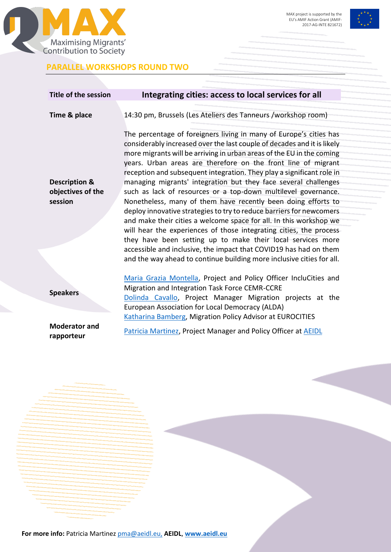

### **PARALLEL WORKSHOPS ROUND TWO**



**Title of the session Integrating cities: access to local services for all Time & place** 14:30 pm, Brussels (Les Ateliers des Tanneurs /workshop room) **Description & objectives of the session** The percentage of foreigners living in many of Europe's cities has considerably increased over the last couple of decades and it is likely more migrants will be arriving in urban areas of the EU in the coming years. Urban areas are therefore on the front line of migrant reception and subsequent integration. They play a significant role in managing migrants' integration but they face several challenges such as lack of resources or a top-down multilevel governance. Nonetheless, many of them have recently been doing efforts to deploy innovative strategies to try to reduce barriers for newcomers and make their cities a welcome space for all. In this workshop we will hear the experiences of those integrating cities, the process they have been setting up to make their local services more accessible and inclusive, the impact that COVID19 has had on them and the way ahead to continue building more inclusive cities for all. **Speakers**  [Maria Grazia Montella,](https://www.ccre.org/equipes/view/10) Project and Policy Officer IncluCities and Migration and Integration Task Force CEMR-CCRE [Dolinda Cavallo,](https://www.linkedin.com/in/dolinda-cavallo-419332a1/?originalSubdomain=be) Project Manager Migration projects at the European Association for Local Democracy (ALDA) [Katharina Bamberg,](https://www.linkedin.com/in/katharinabamberg/?originalSubdomain=be) Migration Policy Advisor at EUROCITIES **Moderator and rapporteur**  [Patricia Martinez,](https://www.linkedin.com/in/patricia-mart%C3%ADnez-s%C3%A1ez-71643bb0/?locale=en_US) Project Manager and Policy Officer at [AEIDL](http://www.aeidl.eu/)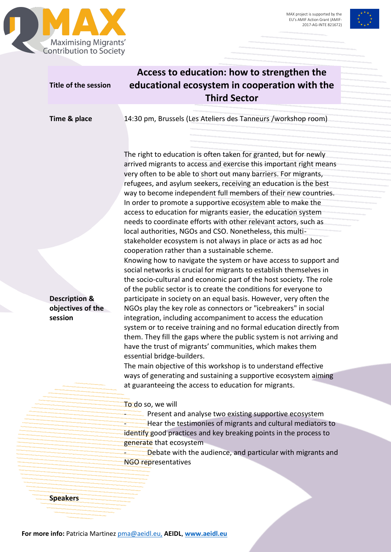



| Title of the session                                     | Access to education: how to strengthen the<br>educational ecosystem in cooperation with the<br><b>Third Sector</b>                                                                                                                                                                                                                                                                                                                                                                                                                                                                                                                                                                                                                                                                                                                                                                                                                                                                                                                                                                                                                                                                                                                                                                                                                                                                                                                         |
|----------------------------------------------------------|--------------------------------------------------------------------------------------------------------------------------------------------------------------------------------------------------------------------------------------------------------------------------------------------------------------------------------------------------------------------------------------------------------------------------------------------------------------------------------------------------------------------------------------------------------------------------------------------------------------------------------------------------------------------------------------------------------------------------------------------------------------------------------------------------------------------------------------------------------------------------------------------------------------------------------------------------------------------------------------------------------------------------------------------------------------------------------------------------------------------------------------------------------------------------------------------------------------------------------------------------------------------------------------------------------------------------------------------------------------------------------------------------------------------------------------------|
| Time & place                                             | 14:30 pm, Brussels (Les Ateliers des Tanneurs /workshop room)                                                                                                                                                                                                                                                                                                                                                                                                                                                                                                                                                                                                                                                                                                                                                                                                                                                                                                                                                                                                                                                                                                                                                                                                                                                                                                                                                                              |
| <b>Description &amp;</b><br>objectives of the<br>session | The right to education is often taken for granted, but for newly<br>arrived migrants to access and exercise this important right means<br>very often to be able to short out many barriers. For migrants,<br>refugees, and asylum seekers, receiving an education is the best<br>way to become independent full members of their new countries.<br>In order to promote a supportive ecosystem able to make the<br>access to education for migrants easier, the education system<br>needs to coordinate efforts with other relevant actors, such as<br>local authorities, NGOs and CSO. Nonetheless, this multi-<br>stakeholder ecosystem is not always in place or acts as ad hoc<br>cooperation rather than a sustainable scheme.<br>Knowing how to navigate the system or have access to support and<br>social networks is crucial for migrants to establish themselves in<br>the socio-cultural and economic part of the host society. The role<br>of the public sector is to create the conditions for everyone to<br>participate in society on an equal basis. However, very often the<br>NGOs play the key role as connectors or "icebreakers" in social<br>integration, including accompaniment to access the education<br>system or to receive training and no formal education directly from<br>them. They fill the gaps where the public system is not arriving and<br>have the trust of migrants' communities, which makes them |
|                                                          | essential bridge-builders.<br>The main objective of this workshop is to understand effective<br>ways of generating and sustaining a supportive ecosystem aiming                                                                                                                                                                                                                                                                                                                                                                                                                                                                                                                                                                                                                                                                                                                                                                                                                                                                                                                                                                                                                                                                                                                                                                                                                                                                            |
|                                                          | at guaranteeing the access to education for migrants.                                                                                                                                                                                                                                                                                                                                                                                                                                                                                                                                                                                                                                                                                                                                                                                                                                                                                                                                                                                                                                                                                                                                                                                                                                                                                                                                                                                      |
|                                                          | To do so, we will<br>Present and analyse two existing supportive ecosystem<br>Hear the testimonies of migrants and cultural mediators to                                                                                                                                                                                                                                                                                                                                                                                                                                                                                                                                                                                                                                                                                                                                                                                                                                                                                                                                                                                                                                                                                                                                                                                                                                                                                                   |
|                                                          | identify good practices and key breaking points in the process to<br>generate that ecosystem<br>Debate with the audience, and particular with migrants and                                                                                                                                                                                                                                                                                                                                                                                                                                                                                                                                                                                                                                                                                                                                                                                                                                                                                                                                                                                                                                                                                                                                                                                                                                                                                 |
|                                                          | <b>NGO representatives</b>                                                                                                                                                                                                                                                                                                                                                                                                                                                                                                                                                                                                                                                                                                                                                                                                                                                                                                                                                                                                                                                                                                                                                                                                                                                                                                                                                                                                                 |
|                                                          |                                                                                                                                                                                                                                                                                                                                                                                                                                                                                                                                                                                                                                                                                                                                                                                                                                                                                                                                                                                                                                                                                                                                                                                                                                                                                                                                                                                                                                            |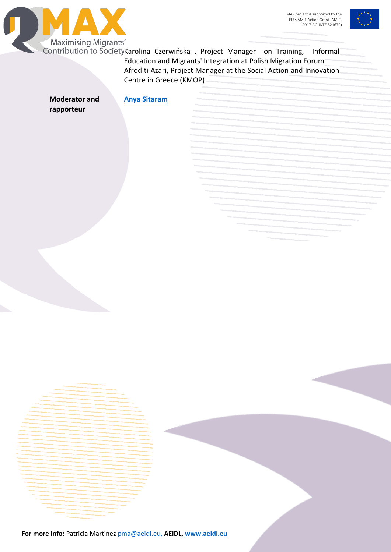



Contribution to SocietyKarolina Czerwińska, Project Manager on Training, Informal Education and Migrants' Integration at Polish Migration Forum Afroditi Azari, Project Manager at the Social Action and Innovation Centre in Greece (KMOP)

**Moderator and rapporteur [Anya Sitaram](http://www.moderatorseurope.eu/anya-sitaram/)**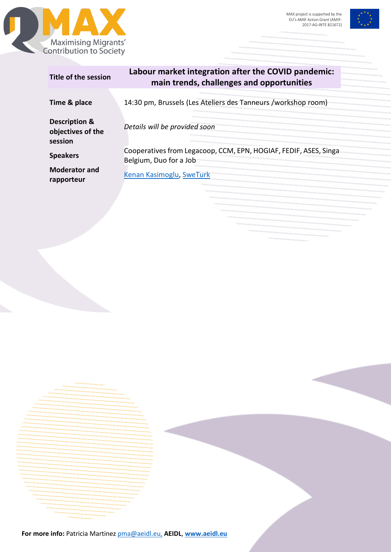



| Title of the session                                     | Labour market integration after the COVID pandemic:<br>main trends, challenges and opportunities |
|----------------------------------------------------------|--------------------------------------------------------------------------------------------------|
| Time & place                                             | 14:30 pm, Brussels (Les Ateliers des Tanneurs /workshop room)                                    |
| <b>Description &amp;</b><br>objectives of the<br>session | Details will be provided soon                                                                    |
| <b>Speakers</b>                                          | Cooperatives from Legacoop, CCM, EPN, HOGIAF, FEDIF, ASES, Singa<br>Belgium, Duo for a Job       |
| <b>Moderator and</b><br>rapporteur                       | Kenan Kasimoglu, SweTurk                                                                         |
|                                                          |                                                                                                  |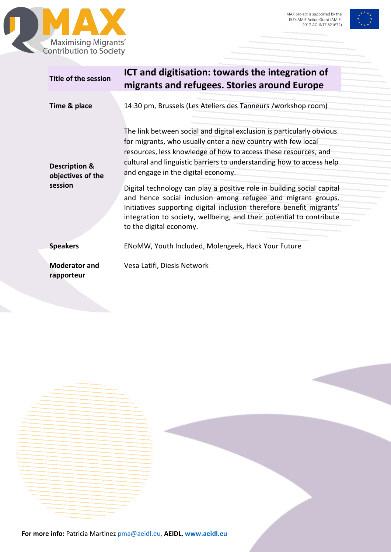



| <b>Title of the session</b>                              | ICT and digitisation: towards the integration of<br>migrants and refugees. Stories around Europe                                                                                                                                                                                                                                                                                                                                                                                                                                                                                                                                            |
|----------------------------------------------------------|---------------------------------------------------------------------------------------------------------------------------------------------------------------------------------------------------------------------------------------------------------------------------------------------------------------------------------------------------------------------------------------------------------------------------------------------------------------------------------------------------------------------------------------------------------------------------------------------------------------------------------------------|
| Time & place                                             | 14:30 pm, Brussels (Les Ateliers des Tanneurs /workshop room)                                                                                                                                                                                                                                                                                                                                                                                                                                                                                                                                                                               |
| <b>Description &amp;</b><br>objectives of the<br>session | The link between social and digital exclusion is particularly obvious<br>for migrants, who usually enter a new country with few local<br>resources, less knowledge of how to access these resources, and<br>cultural and linguistic barriers to understanding how to access help<br>and engage in the digital economy.<br>Digital technology can play a positive role in building social capital<br>and hence social inclusion among refugee and migrant groups.<br>Initiatives supporting digital inclusion therefore benefit migrants'<br>integration to society, wellbeing, and their potential to contribute<br>to the digital economy. |
| <b>Speakers</b>                                          | ENoMW, Youth Included, Molengeek, Hack Your Future                                                                                                                                                                                                                                                                                                                                                                                                                                                                                                                                                                                          |
| <b>Moderator and</b><br>rapporteur                       | Vesa Latifi, Diesis Network                                                                                                                                                                                                                                                                                                                                                                                                                                                                                                                                                                                                                 |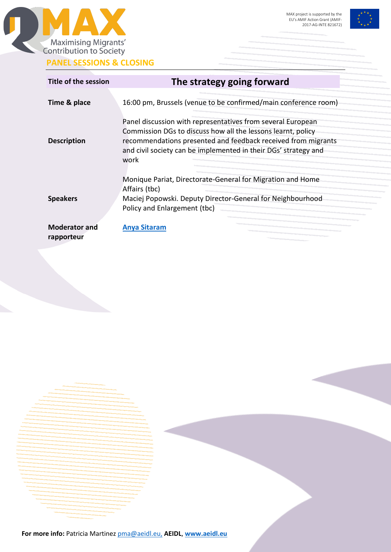

**PANEL SESSIONS & CLOSING**



| Title of the session               | The strategy going forward                                                                                                                                                                                                                                              |
|------------------------------------|-------------------------------------------------------------------------------------------------------------------------------------------------------------------------------------------------------------------------------------------------------------------------|
| Time & place                       | 16:00 pm, Brussels (venue to be confirmed/main conference room)                                                                                                                                                                                                         |
| <b>Description</b>                 | Panel discussion with representatives from several European<br>Commission DGs to discuss how all the lessons learnt, policy<br>recommendations presented and feedback received from migrants<br>and civil society can be implemented in their DGs' strategy and<br>work |
| <b>Speakers</b>                    | Monique Pariat, Directorate-General for Migration and Home<br>Affairs (tbc)<br>Maciej Popowski. Deputy Director-General for Neighbourhood<br>Policy and Enlargement (tbc)                                                                                               |
| <b>Moderator and</b><br>rapporteur | <b>Anya Sitaram</b>                                                                                                                                                                                                                                                     |